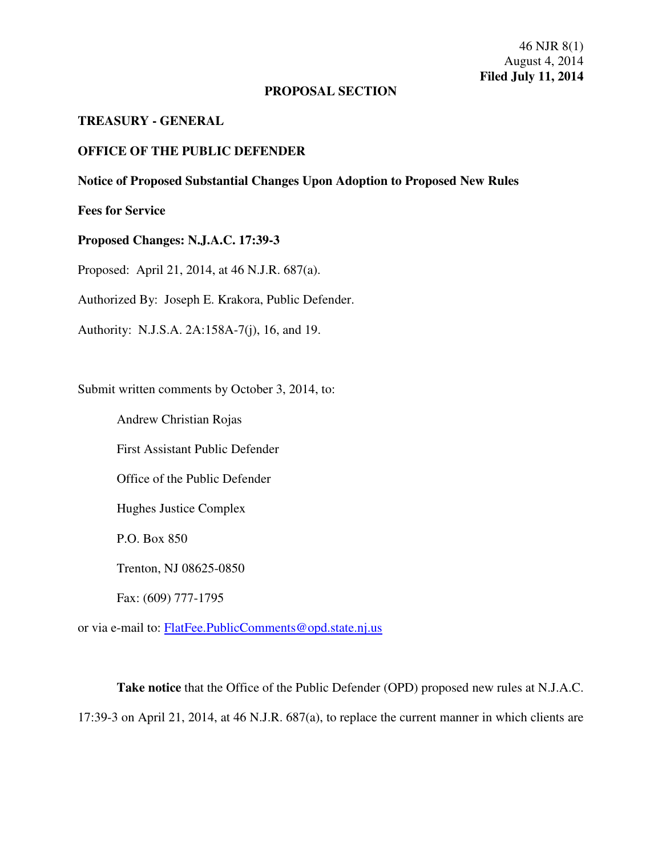### **PROPOSAL SECTION**

### **TREASURY - GENERAL**

## **OFFICE OF THE PUBLIC DEFENDER**

# **Notice of Proposed Substantial Changes Upon Adoption to Proposed New Rules**

**Fees for Service** 

# **Proposed Changes: N.J.A.C. 17:39-3**

Proposed: April 21, 2014, at 46 N.J.R. 687(a).

Authorized By: Joseph E. Krakora, Public Defender.

Authority: N.J.S.A. 2A:158A-7(j), 16, and 19.

Submit written comments by October 3, 2014, to:

Andrew Christian Rojas

First Assistant Public Defender

Office of the Public Defender

Hughes Justice Complex

P.O. Box 850

Trenton, NJ 08625-0850

Fax: (609) 777-1795

or via e-mail to: FlatFee.PublicComments@opd.state.nj.us

**Take notice** that the Office of the Public Defender (OPD) proposed new rules at N.J.A.C. 17:39-3 on April 21, 2014, at 46 N.J.R. 687(a), to replace the current manner in which clients are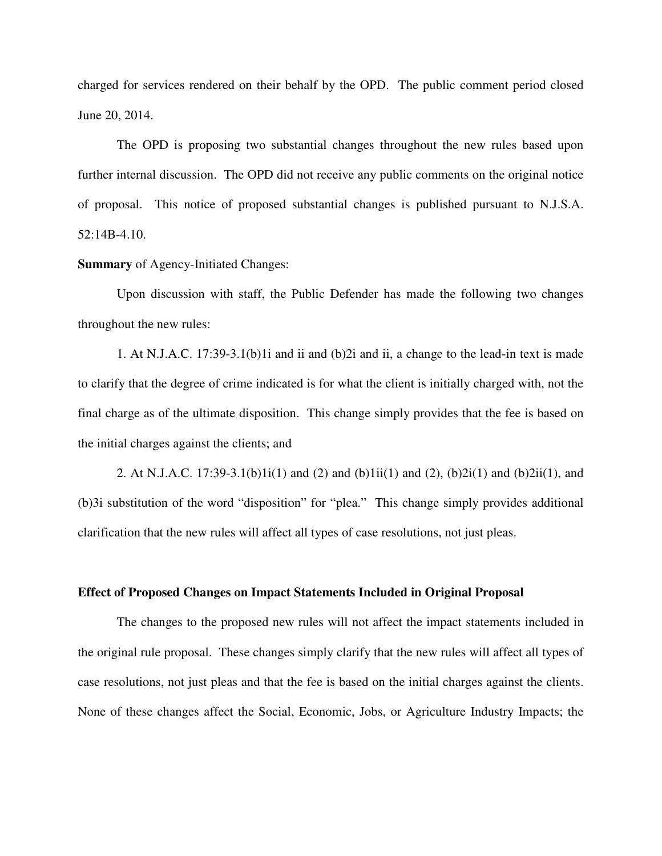charged for services rendered on their behalf by the OPD. The public comment period closed June 20, 2014.

The OPD is proposing two substantial changes throughout the new rules based upon further internal discussion. The OPD did not receive any public comments on the original notice of proposal. This notice of proposed substantial changes is published pursuant to N.J.S.A. 52:14B-4.10.

#### **Summary** of Agency-Initiated Changes:

Upon discussion with staff, the Public Defender has made the following two changes throughout the new rules:

1. At N.J.A.C. 17:39-3.1(b)1i and ii and (b)2i and ii, a change to the lead-in text is made to clarify that the degree of crime indicated is for what the client is initially charged with, not the final charge as of the ultimate disposition. This change simply provides that the fee is based on the initial charges against the clients; and

2. At N.J.A.C. 17:39-3.1(b)1i(1) and (2) and (b)1ii(1) and (2), (b)2i(1) and (b)2ii(1), and (b)3i substitution of the word "disposition" for "plea." This change simply provides additional clarification that the new rules will affect all types of case resolutions, not just pleas.

### **Effect of Proposed Changes on Impact Statements Included in Original Proposal**

The changes to the proposed new rules will not affect the impact statements included in the original rule proposal. These changes simply clarify that the new rules will affect all types of case resolutions, not just pleas and that the fee is based on the initial charges against the clients. None of these changes affect the Social, Economic, Jobs, or Agriculture Industry Impacts; the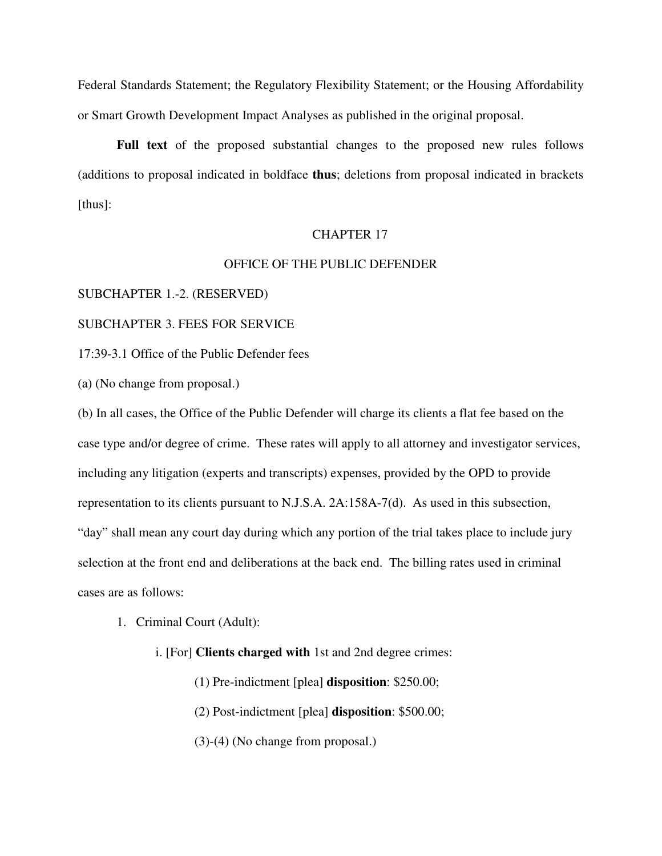Federal Standards Statement; the Regulatory Flexibility Statement; or the Housing Affordability or Smart Growth Development Impact Analyses as published in the original proposal.

**Full text** of the proposed substantial changes to the proposed new rules follows (additions to proposal indicated in boldface **thus**; deletions from proposal indicated in brackets [thus]:

### CHAPTER 17

### OFFICE OF THE PUBLIC DEFENDER

SUBCHAPTER 1.-2. (RESERVED)

# SUBCHAPTER 3. FEES FOR SERVICE

17:39-3.1 Office of the Public Defender fees

(a) (No change from proposal.)

(b) In all cases, the Office of the Public Defender will charge its clients a flat fee based on the case type and/or degree of crime. These rates will apply to all attorney and investigator services, including any litigation (experts and transcripts) expenses, provided by the OPD to provide representation to its clients pursuant to N.J.S.A. 2A:158A-7(d). As used in this subsection, "day" shall mean any court day during which any portion of the trial takes place to include jury selection at the front end and deliberations at the back end. The billing rates used in criminal cases are as follows:

- 1. Criminal Court (Adult):
	- i. [For] **Clients charged with** 1st and 2nd degree crimes:
		- (1) Pre-indictment [plea] **disposition**: \$250.00;
		- (2) Post-indictment [plea] **disposition**: \$500.00;
		- (3)-(4) (No change from proposal.)